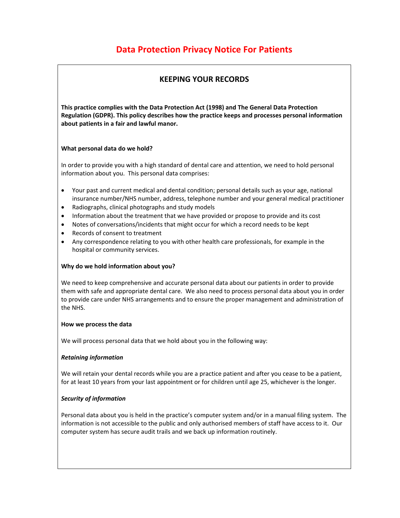# **Data Protection Privacy Notice For Patients**

## **KEEPING YOUR RECORDS**

**This practice complies with the Data Protection Act (1998) and The General Data Protection Regulation (GDPR). This policy describes how the practice keeps and processes personal information about patients in a fair and lawful manor.** 

## **What personal data do we hold?**

In order to provide you with a high standard of dental care and attention, we need to hold personal information about you. This personal data comprises:

- Your past and current medical and dental condition; personal details such as your age, national insurance number/NHS number, address, telephone number and your general medical practitioner
- Radiographs, clinical photographs and study models
- Information about the treatment that we have provided or propose to provide and its cost
- Notes of conversations/incidents that might occur for which a record needs to be kept
- Records of consent to treatment
- Any correspondence relating to you with other health care professionals, for example in the hospital or community services.

## **Why do we hold information about you?**

We need to keep comprehensive and accurate personal data about our patients in order to provide them with safe and appropriate dental care. We also need to process personal data about you in order to provide care under NHS arrangements and to ensure the proper management and administration of the NHS.

## **How we process the data**

We will process personal data that we hold about you in the following way:

## *Retaining information*

We will retain your dental records while you are a practice patient and after you cease to be a patient, for at least 10 years from your last appointment or for children until age 25, whichever is the longer.

## *Security of information*

Personal data about you is held in the practice's computer system and/or in a manual filing system. The information is not accessible to the public and only authorised members of staff have access to it. Our computer system has secure audit trails and we back up information routinely.